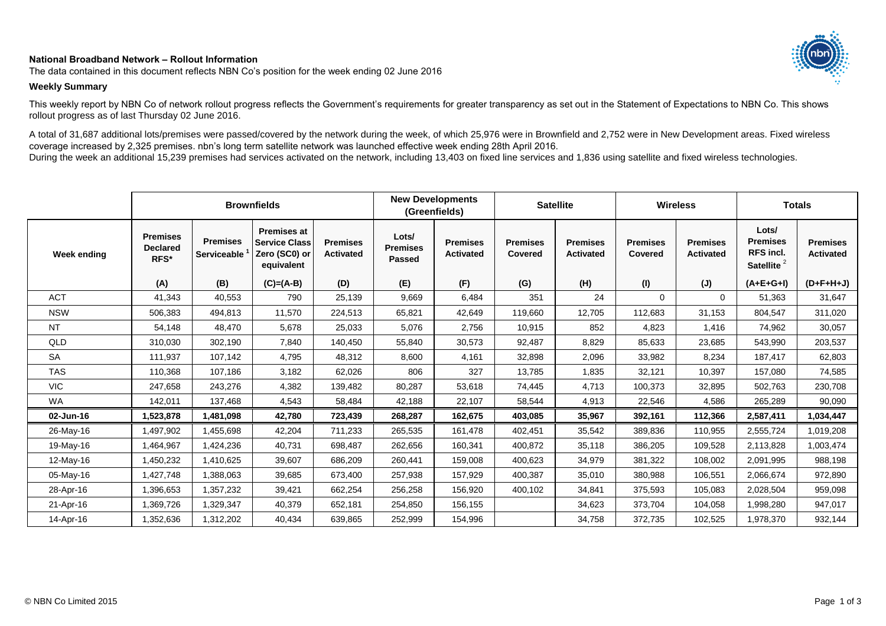## **National Broadband Network – Rollout Information**

The data contained in this document reflects NBN Co's position for the week ending 02 June 2016

## **Weekly Summary**

This weekly report by NBN Co of network rollout progress reflects the Government's requirements for greater transparency as set out in the Statement of Expectations to NBN Co. This shows rollout progress as of last Thursday 02 June 2016.

A total of 31,687 additional lots/premises were passed/covered by the network during the week, of which 25,976 were in Brownfield and 2,752 were in New Development areas. Fixed wireless coverage increased by 2,325 premises. nbn's long term satellite network was launched effective week ending 28th April 2016. During the week an additional 15,239 premises had services activated on the network, including 13,403 on fixed line services and 1,836 using satellite and fixed wireless technologies.

|                    |                                            |                                       | <b>Brownfields</b>                                                        |                                     | <b>New Developments</b><br>(Greenfields)  |                                     | <b>Satellite</b>           |                                     | <b>Wireless</b>            |                                     | <b>Totals</b>                                                          |                                     |
|--------------------|--------------------------------------------|---------------------------------------|---------------------------------------------------------------------------|-------------------------------------|-------------------------------------------|-------------------------------------|----------------------------|-------------------------------------|----------------------------|-------------------------------------|------------------------------------------------------------------------|-------------------------------------|
| <b>Week ending</b> | <b>Premises</b><br><b>Declared</b><br>RFS* | <b>Premises</b><br><b>Serviceable</b> | <b>Premises at</b><br><b>Service Class</b><br>Zero (SC0) or<br>equivalent | <b>Premises</b><br><b>Activated</b> | Lots/<br><b>Premises</b><br><b>Passed</b> | <b>Premises</b><br><b>Activated</b> | <b>Premises</b><br>Covered | <b>Premises</b><br><b>Activated</b> | <b>Premises</b><br>Covered | <b>Premises</b><br><b>Activated</b> | Lots/<br><b>Premises</b><br><b>RFS</b> incl.<br>Satellite <sup>2</sup> | <b>Premises</b><br><b>Activated</b> |
|                    | (A)                                        | (B)                                   | $(C)=(A-B)$                                                               | (D)                                 | (E)                                       | (F)                                 | (G)                        | (H)                                 | (1)                        | $(\mathsf{J})$                      | $(A+E+G+I)$                                                            | $(D+F+H+J)$                         |
| <b>ACT</b>         | 41,343                                     | 40,553                                | 790                                                                       | 25,139                              | 9,669                                     | 6,484                               | 351                        | 24                                  | $\Omega$                   | $\Omega$                            | 51,363                                                                 | 31,647                              |
| <b>NSW</b>         | 506,383                                    | 494,813                               | 11,570                                                                    | 224,513                             | 65,821                                    | 42,649                              | 119,660                    | 12,705                              | 112,683                    | 31,153                              | 804,547                                                                | 311,020                             |
| <b>NT</b>          | 54,148                                     | 48,470                                | 5,678                                                                     | 25,033                              | 5,076                                     | 2,756                               | 10,915                     | 852                                 | 4,823                      | 1,416                               | 74,962                                                                 | 30,057                              |
| QLD                | 310,030                                    | 302,190                               | 7,840                                                                     | 140,450                             | 55,840                                    | 30,573                              | 92,487                     | 8,829                               | 85,633                     | 23,685                              | 543,990                                                                | 203,537                             |
| <b>SA</b>          | 111,937                                    | 107,142                               | 4,795                                                                     | 48,312                              | 8,600                                     | 4,161                               | 32,898                     | 2,096                               | 33,982                     | 8,234                               | 187,417                                                                | 62,803                              |
| <b>TAS</b>         | 110,368                                    | 107,186                               | 3,182                                                                     | 62,026                              | 806                                       | 327                                 | 13,785                     | 1,835                               | 32,121                     | 10,397                              | 157,080                                                                | 74,585                              |
| <b>VIC</b>         | 247,658                                    | 243,276                               | 4,382                                                                     | 139,482                             | 80,287                                    | 53,618                              | 74,445                     | 4,713                               | 100,373                    | 32,895                              | 502,763                                                                | 230,708                             |
| <b>WA</b>          | 142,011                                    | 137,468                               | 4,543                                                                     | 58,484                              | 42,188                                    | 22,107                              | 58,544                     | 4,913                               | 22,546                     | 4,586                               | 265,289                                                                | 90,090                              |
| 02-Jun-16          | 1,523,878                                  | 1,481,098                             | 42,780                                                                    | 723,439                             | 268,287                                   | 162,675                             | 403,085                    | 35,967                              | 392,161                    | 112,366                             | 2,587,411                                                              | 1,034,447                           |
| 26-May-16          | ,497,902                                   | 1,455,698                             | 42,204                                                                    | 711,233                             | 265,535                                   | 161,478                             | 402,451                    | 35,542                              | 389,836                    | 110,955                             | 2,555,724                                                              | 1,019,208                           |
| 19-May-16          | ,464,967                                   | 1,424,236                             | 40,731                                                                    | 698,487                             | 262,656                                   | 160,341                             | 400,872                    | 35,118                              | 386,205                    | 109,528                             | 2,113,828                                                              | 1,003,474                           |
| 12-May-16          | ,450,232                                   | 1,410,625                             | 39,607                                                                    | 686,209                             | 260,441                                   | 159,008                             | 400,623                    | 34,979                              | 381.322                    | 108,002                             | 2,091,995                                                              | 988,198                             |
| 05-May-16          | ,427,748                                   | 1,388,063                             | 39,685                                                                    | 673,400                             | 257,938                                   | 157,929                             | 400,387                    | 35,010                              | 380,988                    | 106,551                             | 2,066,674                                                              | 972,890                             |
| 28-Apr-16          | ,396,653                                   | 1,357,232                             | 39,421                                                                    | 662,254                             | 256,258                                   | 156,920                             | 400,102                    | 34,841                              | 375,593                    | 105,083                             | 2,028,504                                                              | 959,098                             |
| 21-Apr-16          | ,369,726                                   | 1,329,347                             | 40,379                                                                    | 652.181                             | 254,850                                   | 156,155                             |                            | 34.623                              | 373.704                    | 104,058                             | 1,998,280                                                              | 947,017                             |
| 14-Apr-16          | 1,352,636                                  | 1,312,202                             | 40,434                                                                    | 639,865                             | 252,999                                   | 154,996                             |                            | 34,758                              | 372,735                    | 102,525                             | 1,978,370                                                              | 932,144                             |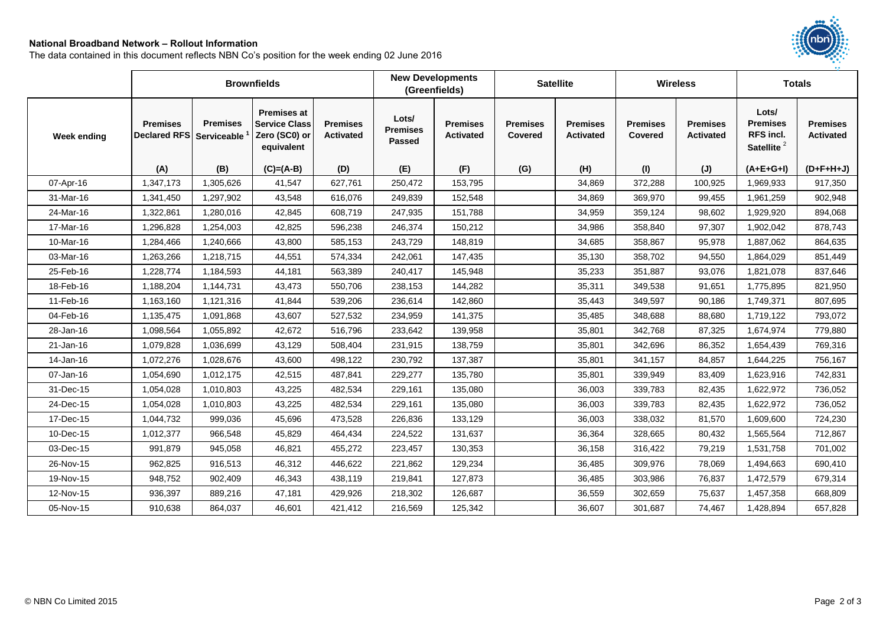## **National Broadband Network – Rollout Information**

The data contained in this document reflects NBN Co's position for the week ending 02 June 2016

|             |                                             |                 | <b>Brownfields</b>                                                        |                                     | <b>New Developments</b><br>(Greenfields)  |                                     | <b>Satellite</b>           |                                     | <b>Wireless</b>            |                                     | <b>Totals</b>                                                   |                                     |
|-------------|---------------------------------------------|-----------------|---------------------------------------------------------------------------|-------------------------------------|-------------------------------------------|-------------------------------------|----------------------------|-------------------------------------|----------------------------|-------------------------------------|-----------------------------------------------------------------|-------------------------------------|
| Week ending | <b>Premises</b><br>Declared RFS Serviceable | <b>Premises</b> | <b>Premises at</b><br><b>Service Class</b><br>Zero (SC0) or<br>equivalent | <b>Premises</b><br><b>Activated</b> | Lots/<br><b>Premises</b><br><b>Passed</b> | <b>Premises</b><br><b>Activated</b> | <b>Premises</b><br>Covered | <b>Premises</b><br><b>Activated</b> | <b>Premises</b><br>Covered | <b>Premises</b><br><b>Activated</b> | Lots/<br><b>Premises</b><br>RFS incl.<br>Satellite <sup>2</sup> | <b>Premises</b><br><b>Activated</b> |
|             | (A)                                         | (B)             | $(C)=(A-B)$                                                               | (D)                                 | (E)                                       | (F)                                 | (G)                        | (H)                                 | (1)                        | (J)                                 | $(A+E+G+I)$                                                     | $(D+F+H+J)$                         |
| 07-Apr-16   | 1,347,173                                   | 1,305,626       | 41,547                                                                    | 627,761                             | 250,472                                   | 153,795                             |                            | 34,869                              | 372,288                    | 100,925                             | 1,969,933                                                       | 917,350                             |
| 31-Mar-16   | 1,341,450                                   | 1,297,902       | 43,548                                                                    | 616,076                             | 249,839                                   | 152,548                             |                            | 34,869                              | 369,970                    | 99,455                              | 1,961,259                                                       | 902,948                             |
| 24-Mar-16   | 1,322,861                                   | 1,280,016       | 42,845                                                                    | 608,719                             | 247,935                                   | 151,788                             |                            | 34,959                              | 359,124                    | 98,602                              | 1,929,920                                                       | 894,068                             |
| 17-Mar-16   | 1,296,828                                   | 1,254,003       | 42,825                                                                    | 596,238                             | 246,374                                   | 150,212                             |                            | 34,986                              | 358,840                    | 97,307                              | 1,902,042                                                       | 878,743                             |
| 10-Mar-16   | 1,284,466                                   | 1,240,666       | 43,800                                                                    | 585,153                             | 243,729                                   | 148,819                             |                            | 34,685                              | 358,867                    | 95,978                              | 1,887,062                                                       | 864,635                             |
| 03-Mar-16   | 1,263,266                                   | 1,218,715       | 44,551                                                                    | 574,334                             | 242,061                                   | 147,435                             |                            | 35,130                              | 358,702                    | 94,550                              | 1,864,029                                                       | 851,449                             |
| 25-Feb-16   | 1,228,774                                   | 1,184,593       | 44,181                                                                    | 563,389                             | 240,417                                   | 145,948                             |                            | 35,233                              | 351,887                    | 93,076                              | 1,821,078                                                       | 837,646                             |
| 18-Feb-16   | 1,188,204                                   | 1,144,731       | 43,473                                                                    | 550,706                             | 238,153                                   | 144,282                             |                            | 35,311                              | 349,538                    | 91,651                              | 1,775,895                                                       | 821,950                             |
| 11-Feb-16   | 1,163,160                                   | 1,121,316       | 41,844                                                                    | 539,206                             | 236,614                                   | 142,860                             |                            | 35,443                              | 349,597                    | 90,186                              | 1,749,371                                                       | 807,695                             |
| 04-Feb-16   | 1,135,475                                   | 1,091,868       | 43,607                                                                    | 527,532                             | 234,959                                   | 141,375                             |                            | 35,485                              | 348,688                    | 88,680                              | 1,719,122                                                       | 793,072                             |
| 28-Jan-16   | 1,098,564                                   | 1,055,892       | 42,672                                                                    | 516,796                             | 233,642                                   | 139,958                             |                            | 35,801                              | 342,768                    | 87,325                              | 1,674,974                                                       | 779,880                             |
| 21-Jan-16   | 1,079,828                                   | 1,036,699       | 43,129                                                                    | 508,404                             | 231,915                                   | 138,759                             |                            | 35,801                              | 342,696                    | 86,352                              | 1,654,439                                                       | 769,316                             |
| 14-Jan-16   | 1,072,276                                   | 1,028,676       | 43,600                                                                    | 498,122                             | 230,792                                   | 137,387                             |                            | 35,801                              | 341,157                    | 84,857                              | 1,644,225                                                       | 756,167                             |
| 07-Jan-16   | 1,054,690                                   | 1,012,175       | 42,515                                                                    | 487,841                             | 229,277                                   | 135,780                             |                            | 35,801                              | 339,949                    | 83,409                              | 1,623,916                                                       | 742,831                             |
| 31-Dec-15   | 1,054,028                                   | 1,010,803       | 43,225                                                                    | 482,534                             | 229,161                                   | 135,080                             |                            | 36,003                              | 339,783                    | 82,435                              | 1,622,972                                                       | 736,052                             |
| 24-Dec-15   | 1,054,028                                   | 1,010,803       | 43,225                                                                    | 482,534                             | 229,161                                   | 135,080                             |                            | 36,003                              | 339,783                    | 82,435                              | 1,622,972                                                       | 736,052                             |
| 17-Dec-15   | 1,044,732                                   | 999,036         | 45,696                                                                    | 473,528                             | 226,836                                   | 133,129                             |                            | 36,003                              | 338,032                    | 81,570                              | 1,609,600                                                       | 724,230                             |
| 10-Dec-15   | 1,012,377                                   | 966,548         | 45,829                                                                    | 464,434                             | 224,522                                   | 131,637                             |                            | 36,364                              | 328,665                    | 80,432                              | 1,565,564                                                       | 712,867                             |
| 03-Dec-15   | 991,879                                     | 945,058         | 46,821                                                                    | 455,272                             | 223,457                                   | 130,353                             |                            | 36,158                              | 316,422                    | 79,219                              | 1,531,758                                                       | 701,002                             |
| 26-Nov-15   | 962,825                                     | 916,513         | 46,312                                                                    | 446,622                             | 221,862                                   | 129,234                             |                            | 36,485                              | 309,976                    | 78,069                              | 1,494,663                                                       | 690,410                             |
| 19-Nov-15   | 948,752                                     | 902,409         | 46,343                                                                    | 438,119                             | 219,841                                   | 127,873                             |                            | 36,485                              | 303,986                    | 76,837                              | 1,472,579                                                       | 679,314                             |
| 12-Nov-15   | 936,397                                     | 889,216         | 47,181                                                                    | 429,926                             | 218,302                                   | 126,687                             |                            | 36,559                              | 302,659                    | 75,637                              | 1,457,358                                                       | 668,809                             |
| 05-Nov-15   | 910,638                                     | 864,037         | 46,601                                                                    | 421,412                             | 216,569                                   | 125,342                             |                            | 36,607                              | 301,687                    | 74,467                              | 1,428,894                                                       | 657,828                             |